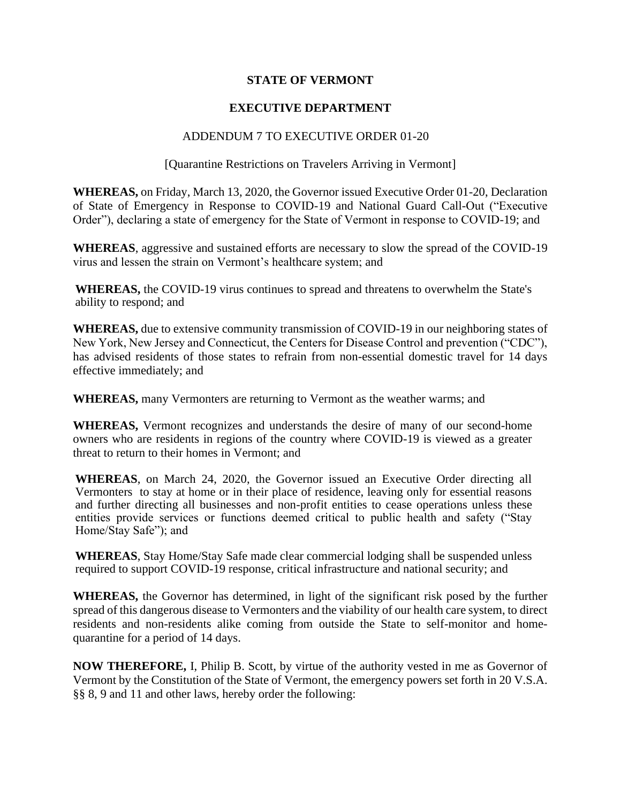## **STATE OF VERMONT**

## **EXECUTIVE DEPARTMENT**

## ADDENDUM 7 TO EXECUTIVE ORDER 01-20

## [Quarantine Restrictions on Travelers Arriving in Vermont]

**WHEREAS,** on Friday, March 13, 2020, the Governor issued Executive Order 01-20, Declaration of State of Emergency in Response to COVID-19 and National Guard Call-Out ("Executive Order"), declaring a state of emergency for the State of Vermont in response to COVID-19; and

**WHEREAS**, aggressive and sustained efforts are necessary to slow the spread of the COVID-19 virus and lessen the strain on Vermont's healthcare system; and

**WHEREAS,** the COVID-19 virus continues to spread and threatens to overwhelm the State's ability to respond; and

**WHEREAS,** due to extensive community transmission of COVID-19 in our neighboring states of New York, New Jersey and Connecticut, the Centers for Disease Control and prevention ("CDC"), has advised residents of those states to refrain from non-essential domestic travel for 14 days effective immediately; and

**WHEREAS,** many Vermonters are returning to Vermont as the weather warms; and

**WHEREAS,** Vermont recognizes and understands the desire of many of our second-home owners who are residents in regions of the country where COVID-19 is viewed as a greater threat to return to their homes in Vermont; and

**WHEREAS**, on March 24, 2020, the Governor issued an Executive Order directing all Vermonters to stay at home or in their place of residence, leaving only for essential reasons and further directing all businesses and non-profit entities to cease operations unless these entities provide services or functions deemed critical to public health and safety ("Stay Home/Stay Safe"); and

**WHEREAS**, Stay Home/Stay Safe made clear commercial lodging shall be suspended unless required to support COVID-19 response, critical infrastructure and national security; and

**WHEREAS,** the Governor has determined, in light of the significant risk posed by the further spread of this dangerous disease to Vermonters and the viability of our health care system, to direct residents and non-residents alike coming from outside the State to self-monitor and homequarantine for a period of 14 days.

**NOW THEREFORE,** I, Philip B. Scott, by virtue of the authority vested in me as Governor of Vermont by the Constitution of the State of Vermont, the emergency powers set forth in 20 V.S.A. §§ 8, 9 and 11 and other laws, hereby order the following: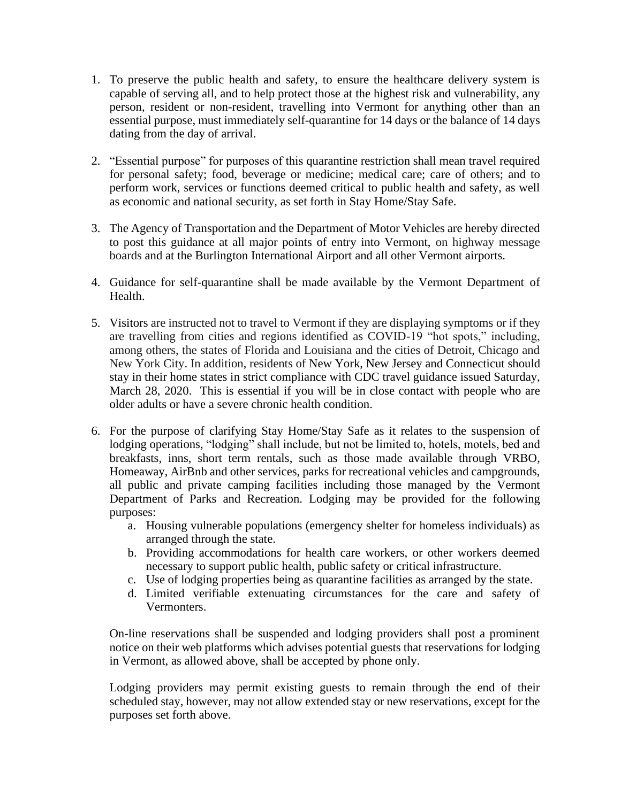- 1. To preserve the public health and safety, to ensure the healthcare delivery system is capable of serving all, and to help protect those at the highest risk and vulnerability, any person, resident or non-resident, travelling into Vermont for anything other than an essential purpose, must immediately self-quarantine for 14 days or the balance of 14 days dating from the day of arrival.
- 2. "Essential purpose" for purposes of this quarantine restriction shall mean travel required for personal safety; food, beverage or medicine; medical care; care of others; and to perform work, services or functions deemed critical to public health and safety, as well as economic and national security, as set forth in Stay Home/Stay Safe.
- 3. The Agency of Transportation and the Department of Motor Vehicles are hereby directed to post this guidance at all major points of entry into Vermont, on highway message boards and at the Burlington International Airport and all other Vermont airports.
- 4. Guidance for self-quarantine shall be made available by the Vermont Department of Health.
- 5. Visitors are instructed not to travel to Vermont if they are displaying symptoms or if they are travelling from cities and regions identified as COVID-19 "hot spots," including, among others, the states of Florida and Louisiana and the cities of Detroit, Chicago and New York City. In addition, residents of New York, New Jersey and Connecticut should stay in their home states in strict compliance with CDC travel guidance issued Saturday, March 28, 2020. This is essential if you will be in close contact with people who are older adults or have a severe chronic health condition.
- 6. For the purpose of clarifying Stay Home/Stay Safe as it relates to the suspension of lodging operations, "lodging" shall include, but not be limited to, hotels, motels, bed and breakfasts, inns, short term rentals, such as those made available through VRBO, Homeaway, AirBnb and other services, parks for recreational vehicles and campgrounds, all public and private camping facilities including those managed by the Vermont Department of Parks and Recreation. Lodging may be provided for the following purposes:
	- a. Housing vulnerable populations (emergency shelter for homeless individuals) as arranged through the state.
	- b. Providing accommodations for health care workers, or other workers deemed necessary to support public health, public safety or critical infrastructure.
	- c. Use of lodging properties being as quarantine facilities as arranged by the state.
	- d. Limited verifiable extenuating circumstances for the care and safety of Vermonters.

On-line reservations shall be suspended and lodging providers shall post a prominent notice on their web platforms which advises potential guests that reservations for lodging in Vermont, as allowed above, shall be accepted by phone only.

Lodging providers may permit existing guests to remain through the end of their scheduled stay, however, may not allow extended stay or new reservations, except for the purposes set forth above.